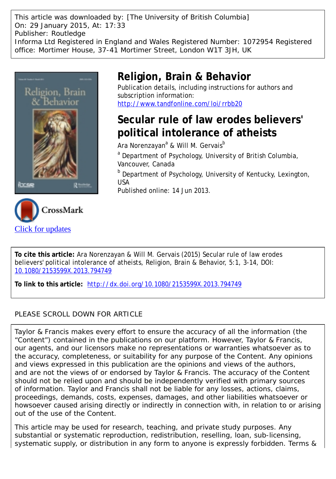This article was downloaded by: [The University of British Columbia] On: 29 January 2015, At: 17:33 Publisher: Routledge Informa Ltd Registered in England and Wales Registered Number: 1072954 Registered office: Mortimer House, 37-41 Mortimer Street, London W1T 3JH, UK





# **Religion, Brain & Behavior**

Publication details, including instructions for authors and subscription information: <http://www.tandfonline.com/loi/rrbb20>

# **Secular rule of law erodes believers' political intolerance of atheists**

Ara Norenzayan<sup>a</sup> & Will M. Gervais<sup>b</sup> <sup>a</sup> Department of Psychology, University of British Columbia, Vancouver, Canada **b** Department of Psychology, University of Kentucky, Lexington, USA

Published online: 14 Jun 2013.

**To cite this article:** Ara Norenzayan & Will M. Gervais (2015) Secular rule of law erodes believers' political intolerance of atheists, Religion, Brain & Behavior, 5:1, 3-14, DOI: [10.1080/2153599X.2013.794749](http://www.tandfonline.com/action/showCitFormats?doi=10.1080/2153599X.2013.794749)

**To link to this article:** <http://dx.doi.org/10.1080/2153599X.2013.794749>

## PLEASE SCROLL DOWN FOR ARTICLE

Taylor & Francis makes every effort to ensure the accuracy of all the information (the "Content") contained in the publications on our platform. However, Taylor & Francis, our agents, and our licensors make no representations or warranties whatsoever as to the accuracy, completeness, or suitability for any purpose of the Content. Any opinions and views expressed in this publication are the opinions and views of the authors, and are not the views of or endorsed by Taylor & Francis. The accuracy of the Content should not be relied upon and should be independently verified with primary sources of information. Taylor and Francis shall not be liable for any losses, actions, claims, proceedings, demands, costs, expenses, damages, and other liabilities whatsoever or howsoever caused arising directly or indirectly in connection with, in relation to or arising out of the use of the Content.

This article may be used for research, teaching, and private study purposes. Any substantial or systematic reproduction, redistribution, reselling, loan, sub-licensing, systematic supply, or distribution in any form to anyone is expressly forbidden. Terms &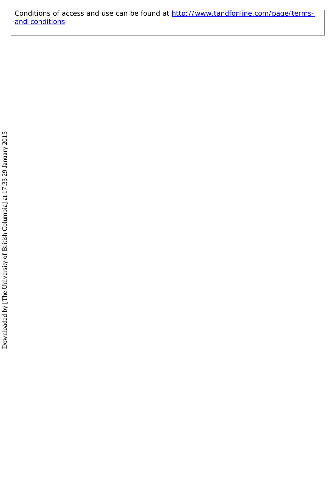Conditions of access and use can be found at [http://www.tandfonline.com/page/terms](http://www.tandfonline.com/page/terms-and-conditions)[and-conditions](http://www.tandfonline.com/page/terms-and-conditions)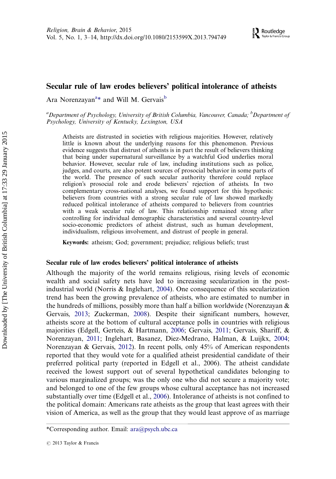## Secular rule of law erodes believers' political intolerance of atheists

Ara Norenzayan<sup>a</sup>\* and Will M. Gervais<sup>b</sup>

<sup>a</sup>Department of Psychology, University of British Columbia, Vancouver, Canada;  $^b$ Department of Psychology, University of Kentucky, Lexington, USA

Atheists are distrusted in societies with religious majorities. However, relatively little is known about the underlying reasons for this phenomenon. Previous evidence suggests that distrust of atheists is in part the result of believers thinking that being under supernatural surveillance by a watchful God underlies moral behavior. However, secular rule of law, including institutions such as police, judges, and courts, are also potent sources of prosocial behavior in some parts of the world. The presence of such secular authority therefore could replace religion's prosocial role and erode believers' rejection of atheists. In two complementary cross-national analyses, we found support for this hypothesis: believers from countries with a strong secular rule of law showed markedly reduced political intolerance of atheists compared to believers from countries with a weak secular rule of law. This relationship remained strong after controlling for individual demographic characteristics and several country-level socio-economic predictors of atheist distrust, such as human development, individualism, religious involvement, and distrust of people in general.

Keywords: atheism; God; government; prejudice; religious beliefs; trust

#### Secular rule of law erodes believers' political intolerance of atheists

Although the majority of the world remains religious, rising levels of economic wealth and social safety nets have led to increasing secularization in the postindustrial world (Norris & Inglehart, [2004\)](#page-13-0). One consequence of this secularization trend has been the growing prevalence of atheists, who are estimated to number in the hundreds of millions, possibly more than half a billion worldwide (Norenzayan & Gervais, [2013](#page-13-0); Zuckerman, [2008](#page-13-0)). Despite their significant numbers, however, atheists score at the bottom of cultural acceptance polls in countries with religious majorities (Edgell, Gerteis, & Hartmann, [2006;](#page-12-0) Gervais, [2011](#page-12-0); Gervais, Shariff, & Norenzayan, [2011](#page-12-0); Inglehart, Basanez, Diez-Medrano, Halman, & Luijkx, [2004](#page-12-0); Norenzayan & Gervais, [2012\)](#page-13-0). In recent polls, only 45% of American respondents reported that they would vote for a qualified atheist presidential candidate of their preferred political party (reported in Edgell et al., 2006). The atheist candidate received the lowest support out of several hypothetical candidates belonging to various marginalized groups; was the only one who did not secure a majority vote; and belonged to one of the few groups whose cultural acceptance has not increased substantially over time (Edgell et al., [2006](#page-12-0)). Intolerance of atheists is not confined to the political domain: Americans rate atheists as the group that least agrees with their vision of America, as well as the group that they would least approve of as marriage

<sup>\*</sup>Corresponding author. Email: [ara@psych.ubc.ca](mailto:ara@psych.ubc.ca)

 $\odot$  2013 Taylor & Francis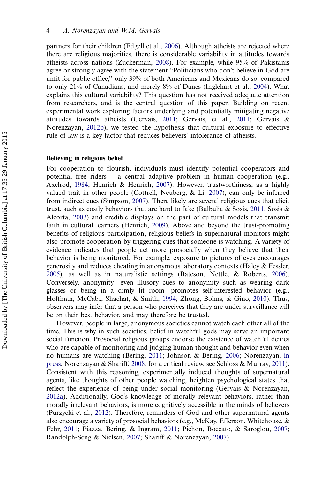partners for their children (Edgell et al., [2006\)](#page-12-0). Although atheists are rejected where there are religious majorities, there is considerable variability in attitudes towards atheists across nations (Zuckerman, [2008\)](#page-13-0). For example, while 95% of Pakistanis agree or strongly agree with the statement ''Politicians who don't believe in God are unfit for public office,'' only 39% of both Americans and Mexicans do so, compared to only 21% of Canadians, and merely 8% of Danes (Inglehart et al., [2004](#page-12-0)). What explains this cultural variability? This question has not received adequate attention from researchers, and is the central question of this paper. Building on recent experimental work exploring factors underlying and potentially mitigating negative attitudes towards atheists (Gervais, [2011](#page-12-0); Gervais, et al., [2011;](#page-12-0) Gervais & Norenzayan, [2012b\)](#page-12-0), we tested the hypothesis that cultural exposure to effective rule of law is a key factor that reduces believers' intolerance of atheists.

#### Believing in religious belief

For cooperation to flourish, individuals must identify potential cooperators and potential free riders - a central adaptive problem in human cooperation (e.g., Axelrod, [1984](#page-12-0); Henrich & Henrich, [2007](#page-12-0)). However, trustworthiness, as a highly valued trait in other people (Cottrell, Neuberg, & Li, [2007\)](#page-12-0), can only be inferred from indirect cues (Simpson, [2007](#page-13-0)). There likely are several religious cues that elicit trust, such as costly behaviors that are hard to fake (Bulbulia & Sosis, [2011;](#page-12-0) Sosis & Alcorta, [2003](#page-13-0)) and credible displays on the part of cultural models that transmit faith in cultural learners (Henrich, [2009](#page-12-0)). Above and beyond the trust-promoting benefits of religious participation, religious beliefs in supernatural monitors might also promote cooperation by triggering cues that someone is watching. A variety of evidence indicates that people act more prosocially when they believe that their behavior is being monitored. For example, exposure to pictures of eyes encourages generosity and reduces cheating in anonymous laboratory contexts (Haley & Fessler, [2005\)](#page-12-0), as well as in naturalistic settings (Bateson, Nettle, & Roberts, [2006](#page-12-0)). Conversely, anonymity—even illusory cues to anonymity such as wearing dark glasses or being in a dimly lit room—promotes self-interested behavior (e.g., Hoffman, McCabe, Shachat, & Smith, [1994](#page-12-0); Zhong, Bohns, & Gino, [2010\)](#page-13-0). Thus, observers may infer that a person who perceives that they are under surveillance will be on their best behavior, and may therefore be trusted.

However, people in large, anonymous societies cannot watch each other all of the time. This is why in such societies, belief in watchful gods may serve an important social function. Prosocial religious groups endorse the existence of watchful deities who are capable of monitoring and judging human thought and behavior even when no humans are watching (Bering, [2011;](#page-12-0) Johnson & Bering, [2006;](#page-12-0) Norenzayan, [in](#page-13-0) [press](#page-13-0); Norenzayan & Shariff, [2008;](#page-13-0) for a critical review, see Schloss & Murray, [2011](#page-13-0)). Consistent with this reasoning, experimentally induced thoughts of supernatural agents, like thoughts of other people watching, heighten psychological states that reflect the experience of being under social monitoring (Gervais & Norenzayan, [2012a\)](#page-12-0). Additionally, God's knowledge of morally relevant behaviors, rather than morally irrelevant behaviors, is more cognitively accessible in the minds of believers (Purzycki et al., [2012](#page-13-0)). Therefore, reminders of God and other supernatural agents also encourage a variety of prosocial behaviors (e.g., McKay, Efferson, Whitehouse, & Fehr, [2011](#page-13-0); Piazza, Bering, & Ingram, [2011;](#page-13-0) Pichon, Boccato, & Saroglou, [2007](#page-13-0); Randolph-Seng & Nielsen, [2007](#page-13-0); Shariff & Norenzayan, [2007\)](#page-13-0).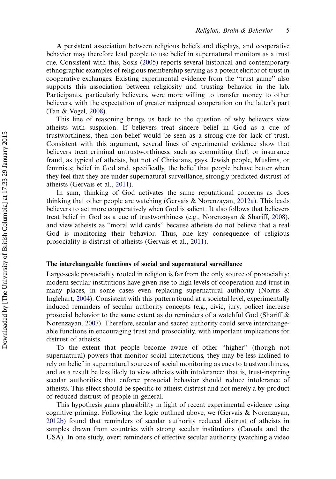A persistent association between religious beliefs and displays, and cooperative behavior may therefore lead people to use belief in supernatural monitors as a trust cue. Consistent with this, Sosis [\(2005](#page-13-0)) reports several historical and contemporary ethnographic examples of religious membership serving as a potent elicitor of trust in cooperative exchanges. Existing experimental evidence from the ''trust game'' also supports this association between religiosity and trusting behavior in the lab. Participants, particularly believers, were more willing to transfer money to other believers, with the expectation of greater reciprocal cooperation on the latter's part (Tan & Vogel, [2008](#page-13-0)).

This line of reasoning brings us back to the question of why believers view atheists with suspicion. If believers treat sincere belief in God as a cue of trustworthiness, then non-belief would be seen as a strong cue for lack of trust. Consistent with this argument, several lines of experimental evidence show that believers treat criminal untrustworthiness, such as committing theft or insurance fraud, as typical of atheists, but not of Christians, gays, Jewish people, Muslims, or feminists; belief in God and, specifically, the belief that people behave better when they feel that they are under supernatural surveillance, strongly predicted distrust of atheists (Gervais et al., [2011\)](#page-12-0).

In sum, thinking of God activates the same reputational concerns as does thinking that other people are watching (Gervais & Norenzayan, [2012a\)](#page-12-0). This leads believers to act more cooperatively when God is salient. It also follows that believers treat belief in God as a cue of trustworthiness (e.g., Norenzayan & Shariff, [2008](#page-13-0)), and view atheists as ''moral wild cards'' because atheists do not believe that a real God is monitoring their behavior. Thus, one key consequence of religious prosociality is distrust of atheists (Gervais et al., [2011\)](#page-12-0).

#### The interchangeable functions of social and supernatural surveillance

Large-scale prosociality rooted in religion is far from the only source of prosociality; modern secular institutions have given rise to high levels of cooperation and trust in many places, in some cases even replacing supernatural authority (Norris  $\&$ Inglehart, [2004](#page-13-0)). Consistent with this pattern found at a societal level, experimentally induced reminders of secular authority concepts (e.g., civic, jury, police) increase prosocial behavior to the same extent as do reminders of a watchful God (Shariff & Norenzayan, [2007](#page-13-0)). Therefore, secular and sacred authority could serve interchangeable functions in encouraging trust and prosociality, with important implications for distrust of atheists.

To the extent that people become aware of other ''higher'' (though not supernatural) powers that monitor social interactions, they may be less inclined to rely on belief in supernatural sources of social monitoring as cues to trustworthiness, and as a result be less likely to view atheists with intolerance; that is, trust-inspiring secular authorities that enforce prosocial behavior should reduce intolerance of atheists. This effect should be specific to atheist distrust and not merely a by-product of reduced distrust of people in general.

This hypothesis gains plausibility in light of recent experimental evidence using cognitive priming. Following the logic outlined above, we (Gervais & Norenzayan, [2012b](#page-12-0)) found that reminders of secular authority reduced distrust of atheists in samples drawn from countries with strong secular institutions (Canada and the USA). In one study, overt reminders of effective secular authority (watching a video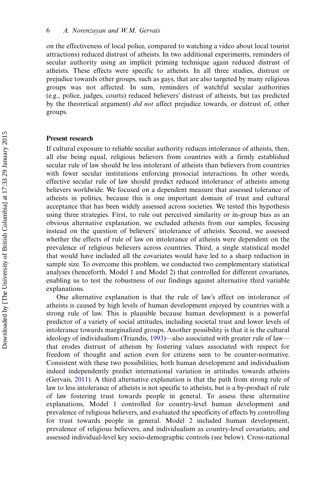on the effectiveness of local police, compared to watching a video about local tourist attractions) reduced distrust of atheists. In two additional experiments, reminders of secular authority using an implicit priming technique again reduced distrust of atheists. These effects were specific to atheists. In all three studies, distrust or prejudice towards other groups, such as gays, that are also targeted by many religious groups was not affected. In sum, reminders of watchful secular authorities (e.g., police, judges, courts) reduced believers' distrust of atheists, but (as predicted by the theoretical argument) did not affect prejudice towards, or distrust of, other groups.

#### Present research

If cultural exposure to reliable secular authority reduces intolerance of atheists, then, all else being equal, religious believers from countries with a firmly established secular rule of law should be less intolerant of atheists than believers from countries with fewer secular institutions enforcing prosocial interactions. In other words, effective secular rule of law should predict reduced intolerance of atheists among believers worldwide. We focused on a dependent measure that assessed tolerance of atheists in politics, because this is one important domain of trust and cultural acceptance that has been widely assessed across societies. We tested this hypothesis using three strategies. First, to rule out perceived similarity or in-group bias as an obvious alternative explanation, we excluded atheists from our samples, focusing instead on the question of believers' intolerance of atheists. Second, we assessed whether the effects of rule of law on intolerance of atheists were dependent on the prevalence of religious believers across countries. Third, a single statistical model that would have included all the covariates would have led to a sharp reduction in sample size. To overcome this problem, we conducted two complementary statistical analyses (henceforth, Model 1 and Model 2) that controlled for different covariates, enabling us to test the robustness of our findings against alternative third variable explanations.

One alternative explanation is that the rule of law's effect on intolerance of atheists is caused by high levels of human development enjoyed by countries with a strong rule of law. This is plausible because human development is a powerful predictor of a variety of social attitudes, including societal trust and lower levels of intolerance towards marginalized groups. Another possibility is that it is the cultural ideology of individualism (Triandis, [1993](#page-13-0))—also associated with greater rule of law that erodes distrust of atheism by fostering values associated with respect for freedom of thought and action even for citizens seen to be counter-normative. Consistent with these two possibilities, both human development and individualism indeed independently predict international variation in attitudes towards atheists (Gervais, [2011\)](#page-12-0). A third alternative explanation is that the path from strong rule of law to less intolerance of atheists is not specific to atheists, but is a by-product of rule of law fostering trust towards people in general. To assess these alternative explanations, Model 1 controlled for country-level human development and prevalence of religious believers, and evaluated the specificity of effects by controlling for trust towards people in general. Model 2 included human development, prevalence of religious believers, and individualism as country-level covariates, and assessed individual-level key socio-demographic controls (see below). Cross-national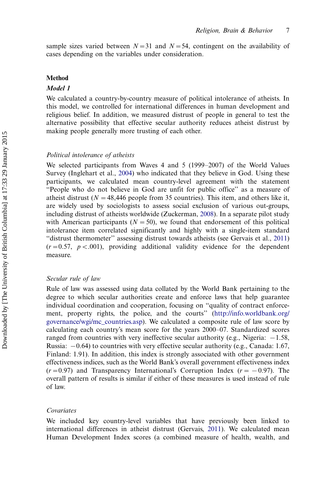sample sizes varied between  $N=31$  and  $N=54$ , contingent on the availability of cases depending on the variables under consideration.

#### Method

#### Model 1

We calculated a country-by-country measure of political intolerance of atheists. In this model, we controlled for international differences in human development and religious belief. In addition, we measured distrust of people in general to test the alternative possibility that effective secular authority reduces atheist distrust by making people generally more trusting of each other.

#### Political intolerance of atheists

We selected participants from Waves 4 and 5 (1999-2007) of the World Values Survey (Inglehart et al., [2004\)](#page-13-0) who indicated that they believe in God. Using these participants, we calculated mean country-level agreement with the statement ''People who do not believe in God are unfit for public office'' as a measure of atheist distrust ( $N = 48,446$  people from 35 countries). This item, and others like it, are widely used by sociologists to assess social exclusion of various out-groups, including distrust of atheists worldwide (Zuckerman, [2008\)](#page-13-0). In a separate pilot study with American participants ( $N = 50$ ), we found that endorsement of this political intolerance item correlated significantly and highly with a single-item standard ''distrust thermometer'' assessing distrust towards atheists (see Gervais et al., [2011\)](#page-12-0)  $(r=0.57, p<.001)$ , providing additional validity evidence for the dependent measure.

#### Secular rule of law

Rule of law was assessed using data collated by the World Bank pertaining to the degree to which secular authorities create and enforce laws that help guarantee individual coordination and cooperation, focusing on ''quality of contract enforcement, property rights, the police, and the courts'' ([http://info.worldbank.org/](http://info.worldbank.org/governance/wgi/mc_countries.asp) [governance/wgi/mc\\_countries.asp](http://info.worldbank.org/governance/wgi/mc_countries.asp)). We calculated a composite rule of law score by calculating each country's mean score for the years 2000-07. Standardized scores ranged from countries with very ineffective secular authority (e.g., Nigeria:  $-1.58$ , Russia:  $-0.64$ ) to countries with very effective secular authority (e.g., Canada: 1.67, Finland: 1.91). In addition, this index is strongly associated with other government effectiveness indices, such as the World Bank's overall government effectiveness index  $(r=0.97)$  and Transparency International's Corruption Index  $(r=-0.97)$ . The overall pattern of results is similar if either of these measures is used instead of rule of law.

#### Covariates

We included key country-level variables that have previously been linked to international differences in atheist distrust (Gervais, [2011\)](#page-12-0). We calculated mean Human Development Index scores (a combined measure of health, wealth, and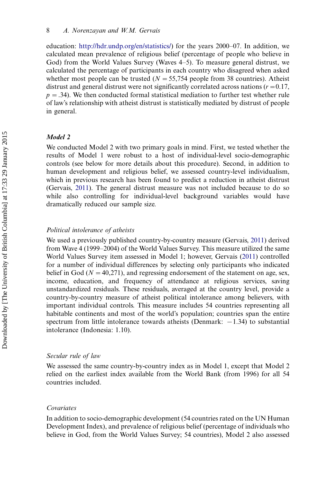education: <http://hdr.undp.org/en/statistics/>) for the years 2000-07. In addition, we calculated mean prevalence of religious belief (percentage of people who believe in God) from the World Values Survey (Waves 4-5). To measure general distrust, we calculated the percentage of participants in each country who disagreed when asked whether most people can be trusted ( $N = 55,754$  people from 38 countries). Atheist distrust and general distrust were not significantly correlated across nations  $(r=0.17,$  $p = 0.34$ ). We then conducted formal statistical mediation to further test whether rule of law's relationship with atheist distrust is statistically mediated by distrust of people in general.

#### Model 2

We conducted Model 2 with two primary goals in mind. First, we tested whether the results of Model 1 were robust to a host of individual-level socio-demographic controls (see below for more details about this procedure). Second, in addition to human development and religious belief, we assessed country-level individualism, which in previous research has been found to predict a reduction in atheist distrust (Gervais, [2011\)](#page-12-0). The general distrust measure was not included because to do so while also controlling for individual-level background variables would have dramatically reduced our sample size.

### Political intolerance of atheists

We used a previously published country-by-country measure (Gervais, [2011](#page-12-0)) derived from Wave 4 (1999-2004) of the World Values Survey. This measure utilized the same World Values Survey item assessed in Model 1; however, Gervais ([2011](#page-12-0)) controlled for a number of individual differences by selecting only participants who indicated belief in God ( $N = 40,271$ ), and regressing endorsement of the statement on age, sex, income, education, and frequency of attendance at religious services, saving unstandardized residuals. These residuals, averaged at the country level, provide a country-by-country measure of atheist political intolerance among believers, with important individual controls. This measure includes 54 countries representing all habitable continents and most of the world's population; countries span the entire spectrum from little intolerance towards atheists (Denmark:  $-1.34$ ) to substantial intolerance (Indonesia: 1.10).

#### Secular rule of law

We assessed the same country-by-country index as in Model 1, except that Model 2 relied on the earliest index available from the World Bank (from 1996) for all 54 countries included.

#### Covariates

In addition to socio-demographic development (54 countries rated on the UN Human Development Index), and prevalence of religious belief (percentage of individuals who believe in God, from the World Values Survey; 54 countries), Model 2 also assessed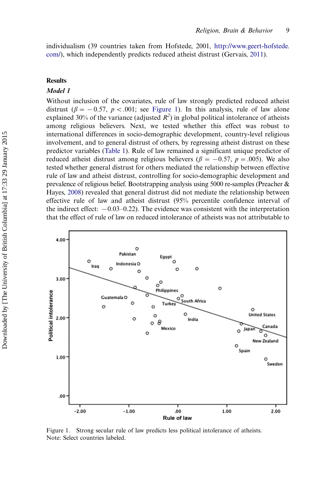individualism (39 countries taken from Hofstede, 2001, [http://www.geert-hofstede.](http://www.geert-hofstede.com/) [com/\)](http://www.geert-hofstede.com/), which independently predicts reduced atheist distrust (Gervais, [2011](#page-12-0)).

## **Results**

#### Model 1

Without inclusion of the covariates, rule of law strongly predicted reduced atheist distrust ( $\beta = -0.57$ ,  $p < .001$ ; see Figure 1). In this analysis, rule of law alone explained 30% of the variance (adjusted  $R^2$ ) in global political intolerance of atheists among religious believers. Next, we tested whether this effect was robust to international differences in socio-demographic development, country-level religious involvement, and to general distrust of others, by regressing atheist distrust on these predictor variables ([Table 1](#page-9-0)). Rule of law remained a significant unique predictor of reduced atheist distrust among religious believers ( $\beta = -0.57$ ,  $p = .005$ ). We also tested whether general distrust for others mediated the relationship between effective rule of law and atheist distrust, controlling for socio-demographic development and prevalence of religious belief. Bootstrapping analysis using 5000 re-samples (Preacher & Hayes, [2008](#page-13-0)) revealed that general distrust did not mediate the relationship between effective rule of law and atheist distrust (95% percentile confidence interval of the indirect effect:  $-0.03-0.22$ ). The evidence was consistent with the interpretation that the effect of rule of law on reduced intolerance of atheists was not attributable to



Figure 1. Strong secular rule of law predicts less political intolerance of atheists. Note: Select countries labeled.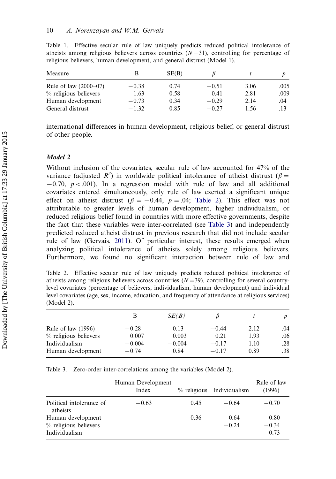|  | religious believers, human development, and general distrust (Model 1). |  |  |  |  |  |  |
|--|-------------------------------------------------------------------------|--|--|--|--|--|--|
|--|-------------------------------------------------------------------------|--|--|--|--|--|--|

<span id="page-9-0"></span>Table 1. Effective secular rule of law uniquely predicts reduced political intolerance of

| Measure                 |         | SE(B) |         |      |      |
|-------------------------|---------|-------|---------|------|------|
| Rule of law $(2000-07)$ | $-0.38$ | 0.74  | $-0.51$ | 3.06 | .005 |
| % religious believers   | 1.63    | 0.58  | 0.41    | 2.81 | .009 |
| Human development       | $-0.73$ | 0.34  | $-0.29$ | 2.14 | .04  |
| General distrust        | $-1.32$ | 0.85  | $-0.27$ | 1.56 | .13  |

international differences in human development, religious belief, or general distrust of other people.

### Model 2

Without inclusion of the covariates, secular rule of law accounted for 47% of the variance (adjusted  $R^2$ ) in worldwide political intolerance of atheist distrust ( $\beta =$  $-0.70$ ,  $p < .001$ ). In a regression model with rule of law and all additional covariates entered simultaneously, only rule of law exerted a significant unique effect on atheist distrust ( $\beta = -0.44$ ,  $p = .04$ ; Table 2). This effect was not attributable to greater levels of human development, higher individualism, or reduced religious belief found in countries with more effective governments, despite the fact that these variables were inter-correlated (see Table 3) and independently predicted reduced atheist distrust in previous research that did not include secular rule of law (Gervais, [2011\)](#page-12-0). Of particular interest, these results emerged when analyzing political intolerance of atheists solely among religious believers. Furthermore, we found no significant interaction between rule of law and

Table 2. Effective secular rule of law uniquely predicts reduced political intolerance of atheists among religious believers across countries  $(N=39)$ , controlling for several countrylevel covariates (percentage of believers, individualism, human development) and individual level covariates (age, sex, income, education, and frequency of attendance at religious services) (Model 2).

|                       |          | SE(B)    |         |      | D   |
|-----------------------|----------|----------|---------|------|-----|
| Rule of law $(1996)$  | $-0.28$  | 0.13     | $-0.44$ | 2.12 | .04 |
| % religious believers | 0.007    | 0.003    | 0.21    | 1.93 | .06 |
| Individualism         | $-0.004$ | $-0.004$ | $-0.17$ | 1.10 | .28 |
| Human development     | $-0.74$  | 0.84     | $-0.17$ | 0.89 | .38 |

Table 3. Zero-order inter-correlations among the variables (Model 2).

|                                                             | Human Development<br>Index |         | % religious Individualism | Rule of law<br>(1996)   |
|-------------------------------------------------------------|----------------------------|---------|---------------------------|-------------------------|
| Political intolerance of<br>atheists                        | $-0.63$                    | 0.45    | $-0.64$                   | $-0.70$                 |
| Human development<br>% religious believers<br>Individualism |                            | $-0.36$ | 0.64<br>$-0.24$           | 0.80<br>$-0.34$<br>0.73 |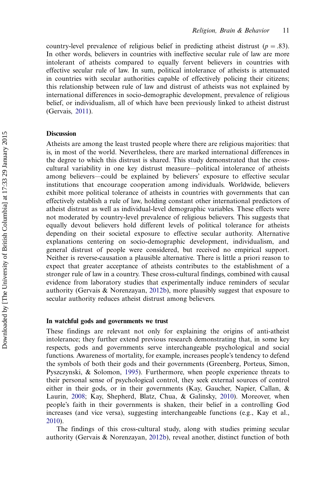country-level prevalence of religious belief in predicting atheist distrust ( $p = .83$ ). In other words, believers in countries with ineffective secular rule of law are more intolerant of atheists compared to equally fervent believers in countries with effective secular rule of law. In sum, political intolerance of atheists is attenuated in countries with secular authorities capable of effectively policing their citizens; this relationship between rule of law and distrust of atheists was not explained by international differences in socio-demographic development, prevalence of religious belief, or individualism, all of which have been previously linked to atheist distrust (Gervais, [2011\)](#page-12-0).

#### **Discussion**

Atheists are among the least trusted people where there are religious majorities: that is, in most of the world. Nevertheless, there are marked international differences in the degree to which this distrust is shared. This study demonstrated that the crosscultural variability in one key distrust measure\*political intolerance of atheists among believers—could be explained by believers' exposure to effective secular institutions that encourage cooperation among individuals. Worldwide, believers exhibit more political tolerance of atheists in countries with governments that can effectively establish a rule of law, holding constant other international predictors of atheist distrust as well as individual-level demographic variables. These effects were not moderated by country-level prevalence of religious believers. This suggests that equally devout believers hold different levels of political tolerance for atheists depending on their societal exposure to effective secular authority. Alternative explanations centering on socio-demographic development, individualism, and general distrust of people were considered, but received no empirical support. Neither is reverse-causation a plausible alternative. There is little a priori reason to expect that greater acceptance of atheists contributes to the establishment of a stronger rule of law in a country. These cross-cultural findings, combined with causal evidence from laboratory studies that experimentally induce reminders of secular authority (Gervais & Norenzayan, [2012b\)](#page-12-0), more plausibly suggest that exposure to secular authority reduces atheist distrust among believers.

#### In watchful gods and governments we trust

These findings are relevant not only for explaining the origins of anti-atheist intolerance; they further extend previous research demonstrating that, in some key respects, gods and governments serve interchangeable psychological and social functions. Awareness of mortality, for example, increases people's tendency to defend the symbols of both their gods and their governments (Greenberg, Porteus, Simon, Pyszczynski, & Solomon, [1995](#page-12-0)). Furthermore, when people experience threats to their personal sense of psychological control, they seek external sources of control either in their gods, or in their governments (Kay, Gaucher, Napier, Callan, & Laurin, [2008;](#page-12-0) Kay, Shepherd, Blatz, Chua, & Galinsky, [2010](#page-13-0)). Moreover, when people's faith in their governments is shaken, their belief in a controlling God increases (and vice versa), suggesting interchangeable functions (e.g., Kay et al., [2010\)](#page-13-0).

The findings of this cross-cultural study, along with studies priming secular authority (Gervais & Norenzayan, [2012b](#page-12-0)), reveal another, distinct function of both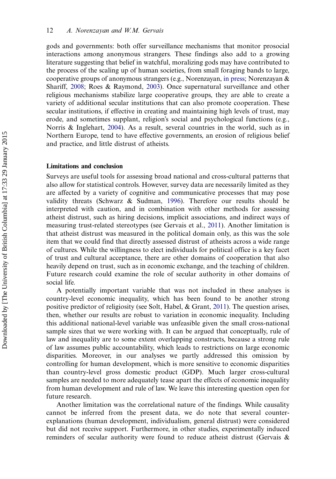gods and governments: both offer surveillance mechanisms that monitor prosocial interactions among anonymous strangers. These findings also add to a growing literature suggesting that belief in watchful, moralizing gods may have contributed to the process of the scaling up of human societies, from small foraging bands to large, cooperative groups of anonymous strangers (e.g., Norenzayan, [in press](#page-13-0); Norenzayan & Shariff, [2008](#page-13-0); Roes & Raymond, [2003\)](#page-13-0). Once supernatural surveillance and other religious mechanisms stabilize large cooperative groups, they are able to create a variety of additional secular institutions that can also promote cooperation. These secular institutions, if effective in creating and maintaining high levels of trust, may erode, and sometimes supplant, religion's social and psychological functions (e.g., Norris & Inglehart, [2004\)](#page-13-0). As a result, several countries in the world, such as in Northern Europe, tend to have effective governments, an erosion of religious belief and practice, and little distrust of atheists.

#### Limitations and conclusion

Surveys are useful tools for assessing broad national and cross-cultural patterns that also allow for statistical controls. However, survey data are necessarily limited as they are affected by a variety of cognitive and communicative processes that may pose validity threats (Schwarz & Sudman, [1996](#page-13-0)). Therefore our results should be interpreted with caution, and in combination with other methods for assessing atheist distrust, such as hiring decisions, implicit associations, and indirect ways of measuring trust-related stereotypes (see Gervais et al., [2011\)](#page-12-0). Another limitation is that atheist distrust was measured in the political domain only, as this was the sole item that we could find that directly assessed distrust of atheists across a wide range of cultures. While the willingness to elect individuals for political office is a key facet of trust and cultural acceptance, there are other domains of cooperation that also heavily depend on trust, such as in economic exchange, and the teaching of children. Future research could examine the role of secular authority in other domains of social life.

A potentially important variable that was not included in these analyses is country-level economic inequality, which has been found to be another strong positive predictor of religiosity (see Solt, Habel, & Grant, [2011\)](#page-13-0). The question arises, then, whether our results are robust to variation in economic inequality. Including this additional national-level variable was unfeasible given the small cross-national sample sizes that we were working with. It can be argued that conceptually, rule of law and inequality are to some extent overlapping constructs, because a strong rule of law assumes public accountability, which leads to restrictions on large economic disparities. Moreover, in our analyses we partly addressed this omission by controlling for human development, which is more sensitive to economic disparities than country-level gross domestic product (GDP). Much larger cross-cultural samples are needed to more adequately tease apart the effects of economic inequality from human development and rule of law. We leave this interesting question open for future research.

Another limitation was the correlational nature of the findings. While causality cannot be inferred from the present data, we do note that several counterexplanations (human development, individualism, general distrust) were considered but did not receive support. Furthermore, in other studies, experimentally induced reminders of secular authority were found to reduce atheist distrust (Gervais &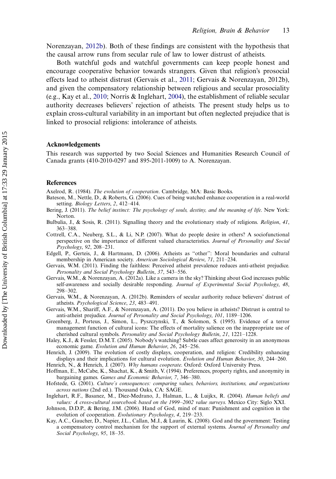<span id="page-12-0"></span>Norenzayan, 2012b). Both of these findings are consistent with the hypothesis that the causal arrow runs from secular rule of law to lower distrust of atheists.

Both watchful gods and watchful governments can keep people honest and encourage cooperative behavior towards strangers. Given that religion's prosocial effects lead to atheist distrust (Gervais et al., 2011; Gervais & Norenzayan, 2012b), and given the compensatory relationship between religious and secular prosociality (e.g., Kay et al., [2010;](#page-13-0) Norris & Inglehart, [2004\)](#page-13-0), the establishment of reliable secular authority decreases believers' rejection of atheists. The present study helps us to explain cross-cultural variability in an important but often neglected prejudice that is linked to prosocial religions: intolerance of atheists.

#### Acknowledgements

This research was supported by two Social Sciences and Humanities Research Council of Canada grants (410-2010-0297 and 895-2011-1009) to A. Norenzayan.

#### **References**

Axelrod, R. (1984). The evolution of cooperation. Cambridge, MA: Basic Books.

- Bateson, M., Nettle, D., & Roberts, G. (2006). Cues of being watched enhance cooperation in a real-world setting. Biology Letters, 2, 412-414.
- Bering, J. (2011). The belief instinct: The psychology of souls, destiny, and the meaning of life. New York: Norton.
- Bulbulia, J., & Sosis, R. (2011). Signalling theory and the evolutionary study of religions. Religion, 41, 363-388.
- Cottrell, C.A., Neuberg, S.L., & Li, N.P. (2007). What do people desire in others? A sociofunctional perspective on the importance of different valued characteristics. Journal of Personality and Social Psychology, 92, 208-231.
- Edgell, P., Gerteis, J., & Hartmann, D. (2006). Atheists as ''other'': Moral boundaries and cultural membership in American society. American Sociological Review, 71, 211-234.
- Gervais, W.M. (2011). Finding the faithless: Perceived atheist prevalence reduces anti-atheist prejudice. Personality and Social Psychology Bulletin, 37, 543-556.
- Gervais, W.M., & Norenzayan, A. (2012a). Like a camera in the sky? Thinking about God increases public self-awareness and socially desirable responding. Journal of Experimental Social Psychology, 48, 298-302.
- Gervais, W.M., & Norenzayan, A. (2012b). Reminders of secular authority reduce believers' distrust of atheists. Psychological Science, 23, 483-491.
- Gervais, W.M., Shariff, A.F., & Norenzayan, A. (2011). Do you believe in atheists? Distrust is central to anti-atheist prejudice. Journal of Personality and Social Psychology, 101, 1189-1206.
- Greenberg, J., Porteus, J., Simon, L., Pyszczynski, T., & Solomon, S. (1995). Evidence of a terror management function of cultural icons: The effects of mortality salience on the inappropriate use of cherished cultural symbols. Personality and Social Psychology Bulletin, 21, 1221-1228.
- Haley, K.J., & Fessler, D.M.T. (2005). Nobody's watching? Subtle cues affect generosity in an anonymous economic game. Evolution and Human Behavior, 26, 245-256.
- Henrich, J. (2009). The evolution of costly displays, cooperation, and religion: Credibility enhancing displays and their implications for cultural evolution. Evolution and Human Behavior, 30, 244-260. Henrich, N., & Henrich, J. (2007). Why humans cooperate. Oxford: Oxford University Press.
- 
- Hoffman, E., McCabe, K., Shachat, K., & Smith, V. (1994). Preferences, property rights, and anonymity in bargaining games. Games and Economic Behavior, 7, 346-380.
- Hofstede, G. (2001). Culture's consequences: comparing values, behaviors, institutions, and organizations across nations (2nd ed.). Thousand Oaks, CA: SAGE.
- Inglehart, R.F., Basanez, M., Diez-Medrano, J., Halman, L., & Luijkx, R. (2004). Human beliefs and values: A cross-cultural sourcebook based on the 1999-2002 value surveys. Mexico City: Siglo XXI.
- Johnson, D.D.P., & Bering, J.M. (2006). Hand of God, mind of man: Punishment and cognition in the evolution of cooperation. Evolutionary Psychology, 4, 219-233.
- Kay, A.C., Gaucher, D., Napier, J.L., Callan, M.J., & Laurin, K. (2008). God and the government: Testing a compensatory control mechanism for the support of external systems. Journal of Personality and Social Psychology, 95, 18-35.